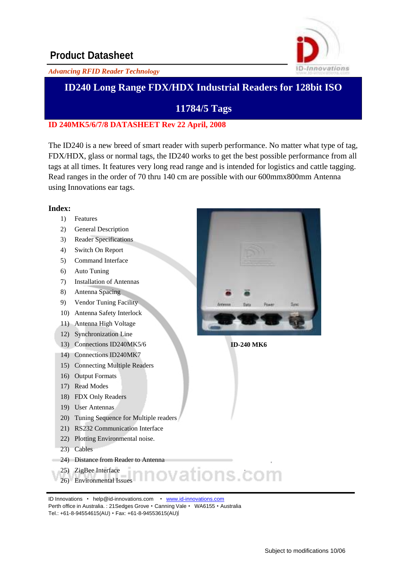

#### *Advancing RFID Reader Technology*

### **ID240 Long Range FDX/HDX Industrial Readers for 128bit ISO**

### **11784/5 Tags**

#### **ID 240MK5/6/7/8 DATASHEET Rev 22 April, 2008**

The ID240 is a new breed of smart reader with superb performance. No matter what type of tag, FDX/HDX, glass or normal tags, the ID240 works to get the best possible performance from all tags at all times. It features very long read range and is intended for logistics and cattle tagging. Read ranges in the order of 70 thru 140 cm are possible with our 600mmx800mm Antenna using Innovations ear tags.

#### **Index:**

- 1) Features
- 2) General Description
- 3) Reader Specifications
- 4) Switch On Report
- 5) Command Interface
- 6) Auto Tuning
- 7) Installation of Antennas
- 8) Antenna Spacing
- 9) Vendor Tuning Facility
- 10) Antenna Safety Interlock
- 11) Antenna High Voltage
- 12) Synchronization Line
- 13) Connections ID240MK5/6
- 14) Connections ID240MK7
- 15) Connecting Multiple Readers
- 16) Output Formats
- 17) Read Modes
- 18) FDX Only Readers
- 19) User Antennas
- 20) Tuning Sequence for Multiple readers
- 21) RS232 Communication Interface
- 22) Plotting Environmental noise.
- 23) Cables
- 24) Distance from Reader to Antenna
- 25) ZigBee Interface
- 26) Environmental Issues

ID Innovations · [help@id-innovations.com](mailto:help@id-innovations.com) · [www.id-innovations.com](http://www.id-innovations.com/) Perth office in Australia. : 21 Sedges Grove · Canning Vale · WA6155 · Australia Tel.: +61-8-94554615(AU) · Fax: +61-8-94553615(AU)



**ID-240 MK6**

vations.com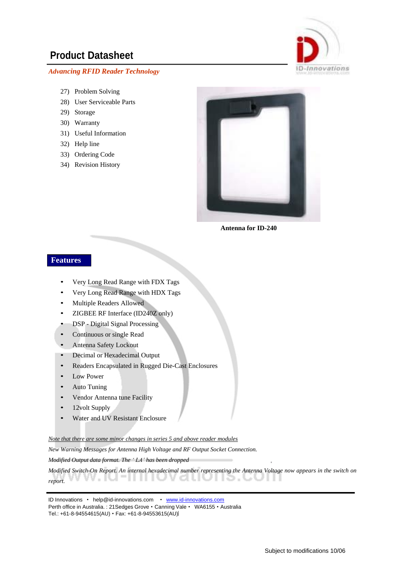#### *Advancing RFID Reader Technology*



- 28) User Serviceable Parts
- 29) Storage
- 30) Warranty
- 31) Useful Information
- 32) Help line
- 33) Ordering Code
- 34) Revision History



**Antenna for ID-240**

#### **Features**

- Very Long Read Range with FDX Tags
- Very Long Read Range with HDX Tags
- Multiple Readers Allowed
- ZIGBEE RF Interface (ID240Z only)
- DSP Digital Signal Processing
- Continuous or single Read
- Antenna Safety Lockout
- Decimal or Hexadecimal Output
- Readers Encapsulated in Rugged Die-Cast Enclosures
- Low Power
- Auto Tuning
- Vendor Antenna tune Facility
- 12volt Supply
- Water and UV Resistant Enclosure

*Note that there are some minor changes in series 5 and above reader modules*

*New Warning Messages for Antenna High Voltage and RF Output Socket Connection.* 

*Modified Output data format. The ' LA' has been dropped*

Modified Switch-On Report. An internal hexadecimal number representing the Antenna Voltage now appears in the switch on uv ٠ *report.* a. . . .

ID Innovations · [help@id-innovations.com](mailto:help@id-innovations.com) · [www.id-innovations.com](http://www.id-innovations.com/) Perth office in Australia. : 21 Sedges Grove · Canning Vale · WA6155 · Australia Tel.: +61-8-94554615(AU) · Fax: +61-8-94553615(AU)

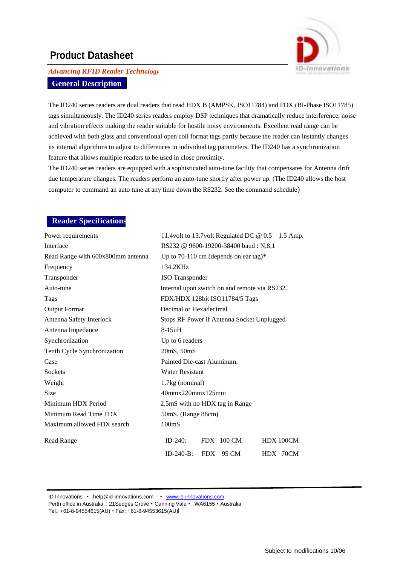

### *Advancing RFID Reader Technology* **General Description**

The ID240 series readers are dual readers that read HDX B (AMPSK, ISO11784) and FDX (BI-Phase ISO11785) tags simultaneously. The ID240 series readers employ DSP techniques that dramatically reduce interference, noise and vibration effects making the reader suitable for hostile noisy environments. Excellent read range can be achieved with both glass and conventional open coil format tags partly because the reader can instantly changes its internal algorithms to adjust to differences in individual tag parameters. The ID240 has a synchronization feature that allows multiple readers to be used in close proximity.

The ID240 series readers are equipped with a sophisticated auto-tune facility that compensates for Antenna drift due temperature changes. The readers perform an auto-tune shortly after power up. (The ID240 allows the host computer to command an auto tune at any time down the RS232. See the command schedule)

#### **Reader Specifications**

| Power requirements                | 11.4volt to 13.7volt Regulated DC $\omega$ 0.5 – 1.5 Amp. |
|-----------------------------------|-----------------------------------------------------------|
| Interface                         | RS232 @ 9600-19200-38400 baud: N,8,1                      |
| Read Range with 600x800mm antenna | Up to 70-110 cm (depends on ear tag)*                     |
| Frequency                         | 134.2KHz                                                  |
| Transponder                       | <b>ISO</b> Transponder                                    |
| Auto-tune                         | Internal upon switch on and remote via RS232.             |
| Tags                              | FDX/HDX 128bit ISO11784/5 Tags                            |
| <b>Output Format</b>              | Decimal or Hexadecimal                                    |
| Antenna Safety Interlock          | Stops RF Power if Antenna Socket Unplugged                |
| Antenna Impedance                 | $8-15uH$                                                  |
| Synchronization                   | Up to 6 readers                                           |
| Tenth Cycle Synchronization       | 20mS, 50mS                                                |
| Case                              | Painted Die-cast Aluminum.                                |
| <b>Sockets</b>                    | <b>Water Resistant</b>                                    |
| Weight                            | 1.7kg (nominal)                                           |
| <b>Size</b>                       | 40mmx220mmx125mm                                          |
| Minimum HDX Period                | 2.5mS with no HDX tag in Range                            |
| Minimum Read Time FDX             | 50mS. (Range 88cm)                                        |
| Maximum allowed FDX search        | 100 <sub>ms</sub>                                         |
| <b>Read Range</b>                 | $ID-240:$<br>$FDX$ 100 CM<br>HDX 100CM                    |
|                                   | $ID-240-B:$<br><b>FDX</b><br>95 CM<br>HDX 70CM            |

ID Innovations · [help@id-innovations.com](mailto:help@id-innovations.com) · [www.id-innovations.com](http://www.id-innovations.com/)

Perth office in Australia.: 21Sedges Grove . Canning Vale . WA6155 . Australia Tel.: +61-8-94554615(AU) • Fax: +61-8-94553615(AU)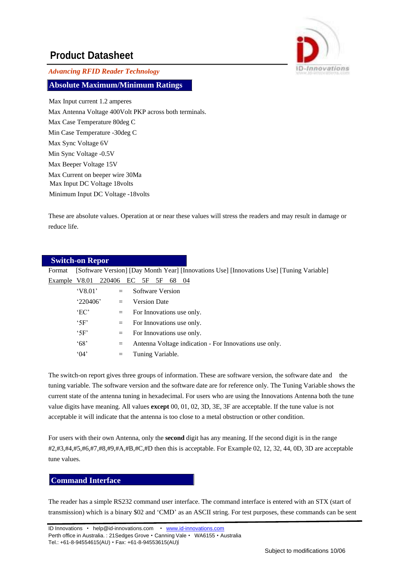

*Advancing RFID Reader Technology*

**Absolute Maximum/Minimum Ratings**

Max Input current 1.2 amperes Max Antenna Voltage 400Volt PKP across both terminals. Max Case Temperature 80deg C Min Case Temperature -30deg C Max Sync Voltage 6V Min Sync Voltage -0.5V Max Beeper Voltage 15V Max Current on beeper wire 30Ma Max Input DC Voltage 18volts Minimum Input DC Voltage -18volts

These are absolute values. Operation at or near these values will stress the readers and may result in damage or reduce life.

|               | <b>Switch-on Repor</b> |     |                                                                                           |
|---------------|------------------------|-----|-------------------------------------------------------------------------------------------|
| Format        |                        |     | [Software Version] [Day Month Year] [Innovations Use] [Innovations Use] [Tuning Variable] |
| Example V8.01 | 220406                 |     | EC<br>5F<br>5F<br>- 04<br>68                                                              |
|               |                        | $=$ | Software Version                                                                          |
|               | 220406'                | $=$ | <b>Version Date</b>                                                                       |
|               | E <sup>o</sup>         | $=$ | For Innovations use only.                                                                 |
|               | $^{\circ}$ 5F'         | $=$ | For Innovations use only.                                                                 |
|               | $^{\circ}$ 5F'         | $=$ | For Innovations use only.                                                                 |
|               | 68'                    | $=$ | Antenna Voltage indication - For Innovations use only.                                    |
|               | (04)                   | $=$ | Tuning Variable.                                                                          |

The switch-on report gives three groups of information. These are software version, the software date and the tuning variable. The software version and the software date are for reference only. The Tuning Variable shows the current state of the antenna tuning in hexadecimal. For users who are using the Innovations Antenna both the tune value digits have meaning. All values **except** 00, 01, 02, 3D, 3E, 3F are acceptable. If the tune value is not acceptable it will indicate that the antenna is too close to a metal obstruction or other condition.

For users with their own Antenna, only the **second** digit has any meaning. If the second digit is in the range #2,#3,#4,#5,#6,#7,#8,#9,#A,#B,#C,#D then this is acceptable. For Example 02, 12, 32, 44, 0D, 3D are acceptable tune values.

#### **Command Interface**

The reader has a simple RS232 command user interface. The command interface is entered with an STX (start of transmission) which is a binary \$02 and 'CMD' as an ASCII string. For test purposes, these commands can be sent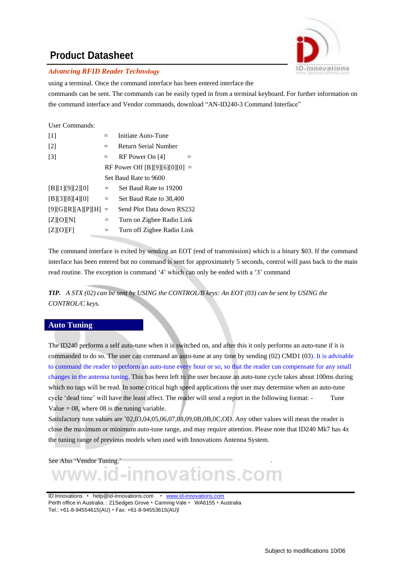

#### *Advancing RFID Reader Technology*

using a terminal. Once the command interface has been entered interface the

commands can be sent. The commands can be easily typed in from a terminal keyboard. For further information on the command interface and Vendor commands, download "AN-ID240-3 Command Interface"

#### User Commands:

| $[1]$              |     | Initiate Auto-Tune             |
|--------------------|-----|--------------------------------|
| $[2]$              | $=$ | <b>Return Serial Number</b>    |
| $[3]$              | $=$ | RF Power On [4]                |
|                    |     | RF Power Off [B][9][6][0][0] = |
|                    |     | Set Baud Rate to 9600          |
| [B][1][9][2][0]    | $=$ | Set Baud Rate to 19200         |
| [B][3][8][4][0]    | $=$ | Set Baud Rate to 38,400        |
| [9][G][R][A][P][H] | $=$ | Send Plot Data down RS232      |
| $Z$ $[O]$ $[N]$    | $=$ | Turn on Zigbee Radio Link      |
| $Z$ $[O$ $ F $     |     | Turn off Zigbee Radio Link     |

The command interface is exited by sending an EOT (end of transmission) which is a binary \$03. If the command interface has been entered but no command is sent for approximately 5 seconds, control will pass back to the main read routine. The exception is command '4' which can only be ended with a '3' command

*TIP. A STX (02) can be sent by USING the CONTROL/B keys: An EOT (03) can be sent by USING the CONTROL/C keys.*

#### **Auto Tuning**

The ID240 performs a self auto-tune when it is switched on, and after this it only performs an auto-tune if it is commanded to do so. The user can command an auto-tune at any time by sending (02) CMD1 (03). It is advisable to command the reader to perform an auto-tune every hour or so, so that the reader can compensate for any small changes in the antenna tuning. This has been left to the user because an auto-tune cycle takes about 100ms during which no tags will be read. In some critical high speed applications the user may determine when an auto-tune cycle 'dead time' will have the least affect. The reader will send a report in the following format: - Tune Value  $= 08$ , where 08 is the tuning variable.

Satisfactory tune values are '02,03,04,05,06,07,08,09,0B,0B,0C,OD. Any other values will mean the reader is close the maximum or minimum auto-tune range, and may require attention. Please note that ID240 Mk7 has 4x the tuning range of previous models when used with Innovations Antenna System.

See Also 'Vendor Tuning.'

l-innovations.com

ID Innovations · [help@id-innovations.com](mailto:help@id-innovations.com) · [www.id-innovations.com](http://www.id-innovations.com/) Perth office in Australia. : 21 Sedges Grove · Canning Vale · WA6155 · Australia Tel.: +61-8-94554615(AU) • Fax: +61-8-94553615(AU)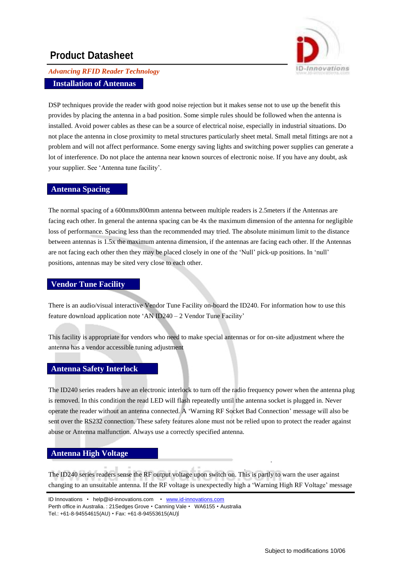

### *Advancing RFID Reader Technology* **Installation of Antennas**

DSP techniques provide the reader with good noise rejection but it makes sense not to use up the benefit this provides by placing the antenna in a bad position. Some simple rules should be followed when the antenna is installed. Avoid power cables as these can be a source of electrical noise, especially in industrial situations. Do not place the antenna in close proximity to metal structures particularly sheet metal. Small metal fittings are not a problem and will not affect performance. Some energy saving lights and switching power supplies can generate a lot of interference. Do not place the antenna near known sources of electronic noise. If you have any doubt, ask your supplier. See 'Antenna tune facility'.

#### **Antenna Spacing**

The normal spacing of a 600mmx800mm antenna between multiple readers is 2.5meters if the Antennas are facing each other. In general the antenna spacing can be 4x the maximum dimension of the antenna for negligible loss of performance. Spacing less than the recommended may tried. The absolute minimum limit to the distance between antennas is 1.5x the maximum antenna dimension, if the antennas are facing each other. If the Antennas are not facing each other then they may be placed closely in one of the 'Null' pick-up positions. In 'null' positions, antennas may be sited very close to each other.

#### **Vendor Tune Facility**

There is an audio/visual interactive Vendor Tune Facility on-board the ID240. For information how to use this feature download application note 'AN ID240 – 2 Vendor Tune Facility'

This facility is appropriate for vendors who need to make special antennas or for on-site adjustment where the antenna has a vendor accessible tuning adjustment

#### **Antenna Safety Interlock**

The ID240 series readers have an electronic interlock to turn off the radio frequency power when the antenna plug is removed. In this condition the read LED will flash repeatedly until the antenna socket is plugged in. Never operate the reader without an antenna connected. A 'Warning RF Socket Bad Connection' message will also be sent over the RS232 connection. These safety features alone must not be relied upon to protect the reader against abuse or Antenna malfunction. Always use a correctly specified antenna.

#### **Antenna High Voltage**

The ID240 series readers sense the RF output voltage upon switch on. This is partly to warn the user against changing to an unsuitable antenna. If the RF voltage is unexpectedly high a 'Warning High RF Voltage' message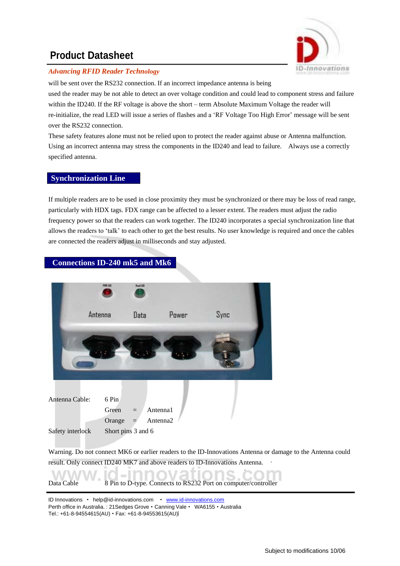

#### *Advancing RFID Reader Technology*

will be sent over the RS232 connection. If an incorrect impedance antenna is being used the reader may be not able to detect an over voltage condition and could lead to component stress and failure within the ID240. If the RF voltage is above the short – term Absolute Maximum Voltage the reader will re-initialize, the read LED will issue a series of flashes and a 'RF Voltage Too High Error' message will be sent over the RS232 connection.

These safety features alone must not be relied upon to protect the reader against abuse or Antenna malfunction. Using an incorrect antenna may stress the components in the ID240 and lead to failure. Always use a correctly specified antenna.

#### **Synchronization Line**

If multiple readers are to be used in close proximity they must be synchronized or there may be loss of read range, particularly with HDX tags. FDX range can be affected to a lesser extent. The readers must adjust the radio frequency power so that the readers can work together. The ID240 incorporates a special synchronization line that allows the readers to 'talk' to each other to get the best results. No user knowledge is required and once the cables are connected the readers adjust in milliseconds and stay adjusted.



#### Warning. Do not connect MK6 or earlier readers to the ID-Innovations Antenna or damage to the Antenna could result. Only connect ID240 MK7 and above readers to ID-Innovations Antenna.

#### Data Cable 8 Pin to D-type. Connects to RS232 Port on computer/controller

ID Innovations · [help@id-innovations.com](mailto:help@id-innovations.com) · [www.id-innovations.com](http://www.id-innovations.com/) Perth office in Australia. : 21 Sedges Grove · Canning Vale · WA6155 · Australia Tel.: +61-8-94554615(AU) · Fax: +61-8-94553615(AU)

 $=$  1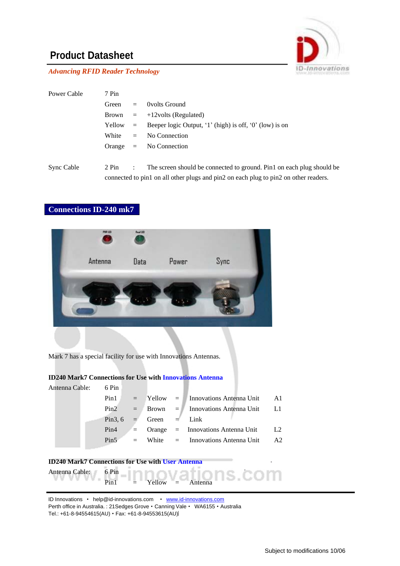

*Advancing RFID Reader Technology*

| Power Cable | 7 Pin |                      |                                                                                      |
|-------------|-------|----------------------|--------------------------------------------------------------------------------------|
|             | Green | $=$ $-$              | Ovolts Ground                                                                        |
|             | Brown |                      | $=$ +12volts (Regulated)                                                             |
|             |       |                      | Yellow = Beeper logic Output, '1' (high) is off, '0' (low) is on                     |
|             | White | $=$ $-$              | No Connection                                                                        |
|             |       |                      | Orange $=$ No Connection                                                             |
|             |       |                      |                                                                                      |
| Sync Cable  | 2 Pin | $\ddot{\phantom{0}}$ | The screen should be connected to ground. Pin1 on each plug should be                |
|             |       |                      | connected to pin1 on all other plugs and pin2 on each plug to pin2 on other readers. |

#### **Connections ID-240 mk7**



Mark 7 has a special facility for use with Innovations Antennas.

#### **ID240 Mark7 Connections for Use with Innovations Antenna**

| Antenna Cable: | 6 Pin |                        |                                              |                |
|----------------|-------|------------------------|----------------------------------------------|----------------|
|                |       |                        |                                              |                |
|                | Pin1  |                        | $=$ Yellow $=$ Innovations Antenna Unit      | - A1           |
|                |       |                        | $Pin2 = Brown = Innovations$ Antenna Unit L1 |                |
|                |       | Pin3, 6 = Green = Link |                                              |                |
|                | Pin4  |                        | $\equiv$ Orange $=$ Innovations Antenna Unit | L <sub>2</sub> |
|                |       |                        | $Pin5$ = White = Innovations Antenna Unit A2 |                |
|                |       |                        |                                              |                |
|                |       |                        |                                              |                |



ID Innovations · [help@id-innovations.com](mailto:help@id-innovations.com) · [www.id-innovations.com](http://www.id-innovations.com/) Perth office in Australia. : 21Sedges Grove · Canning Vale · WA6155 · Australia Tel.: +61-8-94554615(AU) • Fax: +61-8-94553615(AU)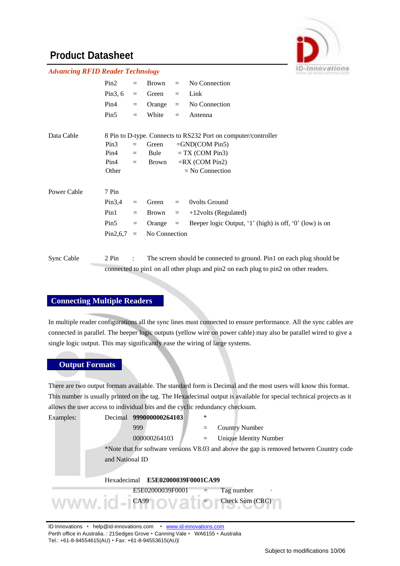

| <b>Advancing RFID Reader Technology</b> |                  |                      |               |          |                                                                                      |  |
|-----------------------------------------|------------------|----------------------|---------------|----------|--------------------------------------------------------------------------------------|--|
|                                         | Pin2             | $=$                  | Brown         | $=$      | No Connection                                                                        |  |
|                                         | Pin $3, 6$       | $=$                  | Green         | $\equiv$ | Link                                                                                 |  |
|                                         | Pin4             | $=$                  | Orange        | $=$      | No Connection                                                                        |  |
|                                         | Pin5             | $=$                  | White         | $=$      | Antenna                                                                              |  |
| Data Cable                              |                  |                      |               |          | 8 Pin to D-type. Connects to RS232 Port on computer/controller                       |  |
|                                         | Pin3             | $=$                  | Green         |          | $=$ GND(COM Pin5)                                                                    |  |
|                                         | Pin4             | $=$                  | Bule          |          | $= TX (COM Pin3)$                                                                    |  |
|                                         | Pin4             | $=$                  | Brown         |          | $=$ RX (COM Pin2)                                                                    |  |
|                                         | Other            |                      |               |          | $=$ No Connection                                                                    |  |
| Power Cable                             | 7 Pin            |                      |               |          |                                                                                      |  |
|                                         | Pin3,4           | $=$                  | Green         | $=$      | Ovolts Ground                                                                        |  |
|                                         | Pin1             | $=$                  | Brown         | $\equiv$ | $+12$ volts (Regulated)                                                              |  |
|                                         | Pin <sub>5</sub> | $\equiv$             | Orange        | $\equiv$ | Beeper logic Output, '1' (high) is off, '0' (low) is on                              |  |
|                                         | Pin2,6,7         | $=$                  | No Connection |          |                                                                                      |  |
| Sync Cable                              | 2 Pin            | $\ddot{\phantom{a}}$ |               |          | The screen should be connected to ground. Pin1 on each plug should be                |  |
|                                         |                  |                      |               |          | connected to pin1 on all other plugs and pin2 on each plug to pin2 on other readers. |  |

#### **Connecting Multiple Readers**

In multiple reader configurations all the sync lines must connected to ensure performance. All the sync cables are connected in parallel. The beeper logic outputs (yellow wire on power cable) may also be parallel wired to give a single logic output. This may significantly ease the wiring of large systems.

#### **Output Formats**

There are two output formats available. The standard form is Decimal and the most users will know this format. This number is usually printed on the tag. The Hexadecimal output is available for special technical projects as it allows the user access to individual bits and the cyclic redundancy checksum.

| Examples: | Decimal         | 999000000264103                                                                     | $\ast$ |                                                                                          |
|-----------|-----------------|-------------------------------------------------------------------------------------|--------|------------------------------------------------------------------------------------------|
|           |                 | 999                                                                                 |        | <b>Country Number</b>                                                                    |
|           |                 | 000000264103                                                                        | $=$    | <b>Unique Identity Number</b>                                                            |
|           | and National ID |                                                                                     |        | *Note that for software versions V8.03 and above the gap is removed between Country code |
|           | Hexadecimal     | E5E02000039F0001CA99                                                                |        |                                                                                          |
|           |                 | E5E02000039F0001                                                                    |        | Tag number                                                                               |
|           |                 | $M_{\rm A}$ $M_{\rm A}$ $M_{\rm A}$ $M_{\rm A}$ $M_{\rm A}$ $M_{\rm A}$ $M_{\rm A}$ |        | Check Sum (CRC)                                                                          |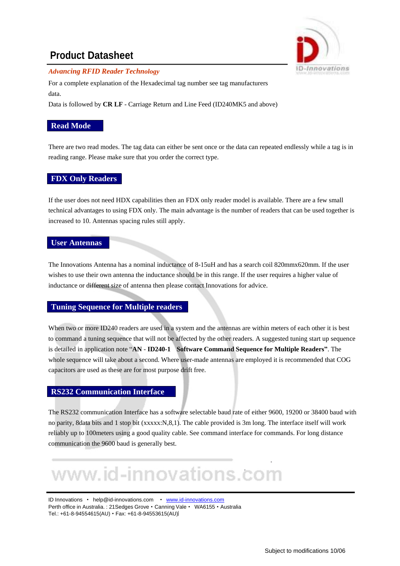

#### *Advancing RFID Reader Technology*

For a complete explanation of the Hexadecimal tag number see tag manufacturers data.

Data is followed by **CR LF** - Carriage Return and Line Feed (ID240MK5 and above)

#### **Read Mode**

There are two read modes. The tag data can either be sent once or the data can repeated endlessly while a tag is in reading range. Please make sure that you order the correct type.

#### **FDX Only Readers**

If the user does not need HDX capabilities then an FDX only reader model is available. There are a few small technical advantages to using FDX only. The main advantage is the number of readers that can be used together is increased to 10. Antennas spacing rules still apply.

#### **User Antennas**

The Innovations Antenna has a nominal inductance of 8-15uH and has a search coil 820mmx620mm. If the user wishes to use their own antenna the inductance should be in this range. If the user requires a higher value of inductance or different size of antenna then please contact Innovations for advice.

#### **Tuning Sequence for Multiple readers**

When two or more ID240 readers are used in a system and the antennas are within meters of each other it is best to command a tuning sequence that will not be affected by the other readers. A suggested tuning start up sequence is detailed in application note "**AN** - **ID240-1 Software Command Sequence for Multiple Readers"**. The whole sequence will take about a second. Where user-made antennas are employed it is recommended that COG capacitors are used as these are for most purpose drift free.

#### **RS232 Communication Interface**

The RS232 communication Interface has a software selectable baud rate of either 9600, 19200 or 38400 baud with no parity, 8data bits and 1 stop bit (xxxxx:N,8,1). The cable provided is 3m long. The interface itself will work reliably up to 100meters using a good quality cable. See command interface for commands. For long distance communication the 9600 baud is generally best.

# www.id-innovations.com

ID Innovations · [help@id-innovations.com](mailto:help@id-innovations.com) · [www.id-innovations.com](http://www.id-innovations.com/) Perth office in Australia.: 21Sedges Grove · Canning Vale · WA6155 · Australia Tel.: +61-8-94554615(AU) · Fax: +61-8-94553615(AU)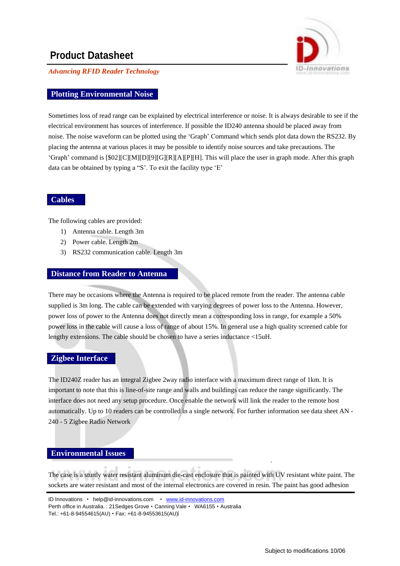-Innovations

*Advancing RFID Reader Technology*

#### **Plotting Environmental Noise**

Sometimes loss of read range can be explained by electrical interference or noise. It is always desirable to see if the electrical environment has sources of interference. If possible the ID240 antenna should be placed away from noise. The noise waveform can be plotted using the 'Graph' Command which sends plot data down the RS232. By placing the antenna at various places it may be possible to identify noise sources and take precautions. The 'Graph' command is [\$02][C][M][D][9][G][R][A][P][H]. This will place the user in graph mode. After this graph data can be obtained by typing a "S'. To exit the facility type 'E'

#### **Cables**

The following cables are provided:

- 1) Antenna cable. Length 3m
- 2) Power cable. Length 2m
- 3) RS232 communication cable. Length 3m

#### **Distance from Reader to Antenna**

There may be occasions where the Antenna is required to be placed remote from the reader. The antenna cable supplied is 3m long. The cable can be extended with varying degrees of power loss to the Antenna. However, power loss of power to the Antenna does not directly mean a corresponding loss in range, for example a 50% power loss in the cable will cause a loss of range of about 15%. In general use a high quality screened cable for lengthy extensions. The cable should be chosen to have a series inductance <15uH.

#### **Zigbee Interface**

The ID240Z reader has an integral Zigbee 2way radio interface with a maximum direct range of 1km. It is important to note that this is line-of-site range and walls and buildings can reduce the range significantly. The interface does not need any setup procedure. Once enable the network will link the reader to the remote host automatically. Up to 10 readers can be controlled in a single network. For further information see data sheet AN - 240 - 5 Zigbee Radio Network

#### **Environmental Issues**

The case is a sturdy water resistant aluminum die-cast enclosure that is painted with UV resistant white paint. The sockets are water resistant and most of the internal electronics are covered in resin. The paint has good adhesion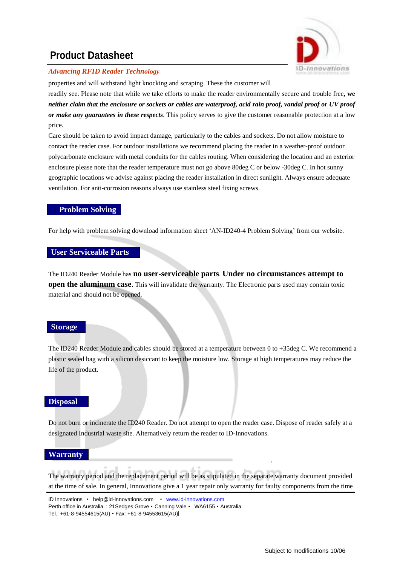

#### *Advancing RFID Reader Technology*

properties and will withstand light knocking and scraping. These the customer will readily see. Please note that while we take efforts to make the reader environmentally secure and trouble free**, we**  *neither claim that the enclosure or sockets or cables are waterproof, acid rain proof, vandal proof or UV proof or make any guarantees in these respects*. This policy serves to give the customer reasonable protection at a low price.

Care should be taken to avoid impact damage, particularly to the cables and sockets. Do not allow moisture to contact the reader case. For outdoor installations we recommend placing the reader in a weather-proof outdoor polycarbonate enclosure with metal conduits for the cables routing. When considering the location and an exterior enclosure please note that the reader temperature must not go above 80deg C or below -30deg C. In hot sunny geographic locations we advise against placing the reader installation in direct sunlight. Always ensure adequate ventilation. For anti-corrosion reasons always use stainless steel fixing screws.

#### **Problem Solving**

For help with problem solving download information sheet 'AN-ID240-4 Problem Solving' from our website.

#### **User Serviceable Parts**

The ID240 Reader Module has **no user-serviceable parts**. **Under no circumstances attempt to open the aluminum case**. This will invalidate the warranty. The Electronic parts used may contain toxic material and should not be opened.

#### **Storage**

The ID240 Reader Module and cables should be stored at a temperature between 0 to +35deg C. We recommend a plastic sealed bag with a silicon desiccant to keep the moisture low. Storage at high temperatures may reduce the life of the product.

#### **Disposal**

Do not burn or incinerate the ID240 Reader. Do not attempt to open the reader case. Dispose of reader safely at a designated Industrial waste site. Alternatively return the reader to ID-Innovations.

#### **Warranty**

The warranty period and the replacement period will be as stipulated in the separate warranty document provided at the time of sale. In general, Innovations give a 1 year repair only warranty for faulty components from the time

ID Innovations · [help@id-innovations.com](mailto:help@id-innovations.com) · [www.id-innovations.com](http://www.id-innovations.com/) Perth office in Australia. : 21 Sedges Grove . Canning Vale . WA6155 . Australia Tel.: +61-8-94554615(AU) · Fax: +61-8-94553615(AU)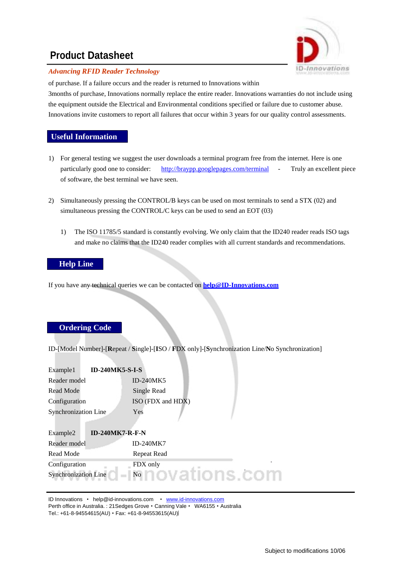

#### *Advancing RFID Reader Technology*

of purchase. If a failure occurs and the reader is returned to Innovations within 3months of purchase, Innovations normally replace the entire reader. Innovations warranties do not include using the equipment outside the Electrical and Environmental conditions specified or failure due to customer abuse. Innovations invite customers to report all failures that occur within 3 years for our quality control assessments.

#### **Useful Information**

- 1) For general testing we suggest the user downloads a terminal program free from the internet. Here is one particularly good one to consider: <http://braypp.googlepages.com/terminal> - Truly an excellent piece of software, the best terminal we have seen.
- 2) Simultaneously pressing the CONTROL/B keys can be used on most terminals to send a STX (02) and simultaneous pressing the CONTROL/C keys can be used to send an EOT (03)
	- 1) The ISO 11785/5 standard is constantly evolving. We only claim that the ID240 reader reads ISO tags and make no claims that the ID240 reader complies with all current standards and recommendations.

#### **Help Line**

If you have any technical queries we can be contacted on **[help@ID-Innovations.com](mailto:help@ID-Innovations.com)**

#### **Ordering Code**

ID-[Model Number]-[**R**epeat / **S**ingle]-[**I**SO / **F**DX only]-[**S**ynchronization Line/**N**o Synchronization]

| <b>ID-240MK5-S-I-S</b><br>Example1 |                   |
|------------------------------------|-------------------|
| Reader model                       | <b>ID-240MK5</b>  |
| Read Mode                          | Single Read       |
| Configuration                      | ISO (FDX and HDX) |
| <b>Synchronization Line</b>        | Yes               |
| <b>ID-240MK7-R-F-N</b><br>Example2 |                   |
| Reader model                       | <b>ID-240MK7</b>  |
| Read Mode                          | Repeat Read       |
| Configuration                      | FDX only          |
| <b>Synchronization Line</b>        | N <sub>0</sub>    |

ID Innovations · [help@id-innovations.com](mailto:help@id-innovations.com) · [www.id-innovations.com](http://www.id-innovations.com/) Perth office in Australia.: 21 Sedges Grove · Canning Vale · WA6155 · Australia Tel.: +61-8-94554615(AU) · Fax: +61-8-94553615(AU)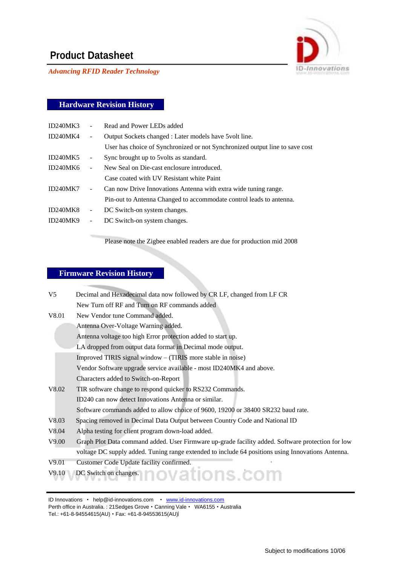

*Advancing RFID Reader Technology*

#### **Hardware Revision History**

| ID240MK3 |                              | Read and Power LEDs added                                                    |
|----------|------------------------------|------------------------------------------------------------------------------|
| ID240MK4 | $\overline{\phantom{a}}$     | Output Sockets changed : Later models have 5 volt line.                      |
|          |                              | User has choice of Synchronized or not Synchronized output line to save cost |
| ID240MK5 | $\qquad \qquad \blacksquare$ | Sync brought up to 5 volts as standard.                                      |
| ID240MK6 | ÷,                           | New Seal on Die-cast enclosure introduced.                                   |
|          |                              | Case coated with UV Resistant white Paint                                    |
| ID240MK7 | $\blacksquare$               | Can now Drive Innovations Antenna with extra wide tuning range.              |
|          |                              | Pin-out to Antenna Changed to accommodate control leads to antenna.          |
| ID240MK8 | ۰                            | DC Switch-on system changes.                                                 |
| ID240MK9 | $\overline{\phantom{a}}$     | DC Switch-on system changes.                                                 |
|          |                              |                                                                              |

Please note the Zigbee enabled readers are due for production mid 2008

### **Firmware Revision History**

| $V_5$ | Decimal and Hexadecimal data now followed by CR LF, changed from LF CR                            |
|-------|---------------------------------------------------------------------------------------------------|
|       | New Turn off RF and Turn on RF commands added                                                     |
| V8.01 | New Vendor tune Command added.                                                                    |
|       | Antenna Over-Voltage Warning added.                                                               |
|       | Antenna voltage too high Error protection added to start up.                                      |
|       | LA dropped from output data format in Decimal mode output.                                        |
|       | Improved TIRIS signal window – (TIRIS more stable in noise)                                       |
|       | Vendor Software upgrade service available - most ID240MK4 and above.                              |
|       | Characters added to Switch-on-Report                                                              |
| V8.02 | TIR software change to respond quicker to RS232 Commands.                                         |
|       | ID240 can now detect Innovations Antenna or similar.                                              |
|       | Software commands added to allow choice of 9600, 19200 or 38400 SR232 baud rate.                  |
| V8.03 | Spacing removed in Decimal Data Output between Country Code and National ID                       |
| V8.04 | Alpha testing for client program down-load added.                                                 |
| V9.00 | Graph Plot Data command added. User Firmware up-grade facility added. Software protection for low |
|       | voltage DC supply added. Tuning range extended to include 64 positions using Innovations Antenna. |
| V9.01 | Customer Code Update facility confirmed.                                                          |
| V9.10 | DC Switch on changes. DOV at IONS. COM                                                            |

ID Innovations · [help@id-innovations.com](mailto:help@id-innovations.com) · [www.id-innovations.com](http://www.id-innovations.com/)

Perth office in Australia. : 21 Sedges Grove . Canning Vale . WA6155 . Australia Tel.: +61-8-94554615(AU) • Fax: +61-8-94553615(AU)